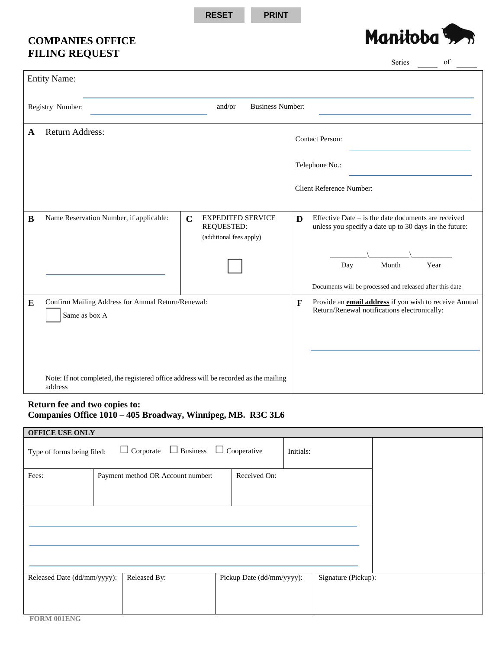**RESET PRINT**

## **COMPANIES OFFICE FILING REQUEST**



|                                                                                                  |                                                                     |                                                                                  |              | Series<br>of                                                                                                    |
|--------------------------------------------------------------------------------------------------|---------------------------------------------------------------------|----------------------------------------------------------------------------------|--------------|-----------------------------------------------------------------------------------------------------------------|
|                                                                                                  | <b>Entity Name:</b>                                                 |                                                                                  |              |                                                                                                                 |
| Registry Number:                                                                                 |                                                                     | and/or<br><b>Business Number:</b>                                                |              |                                                                                                                 |
| A                                                                                                | <b>Return Address:</b>                                              |                                                                                  |              | <b>Contact Person:</b>                                                                                          |
|                                                                                                  |                                                                     |                                                                                  |              | Telephone No.:                                                                                                  |
|                                                                                                  |                                                                     |                                                                                  |              | <b>Client Reference Number:</b>                                                                                 |
| $\bf{B}$                                                                                         | Name Reservation Number, if applicable:                             | <b>EXPEDITED SERVICE</b><br>$\mathbf C$<br>REQUESTED:<br>(additional fees apply) | D            | Effective Date $-$ is the date documents are received<br>unless you specify a date up to 30 days in the future: |
|                                                                                                  |                                                                     |                                                                                  |              | Month<br>Year<br>Day                                                                                            |
|                                                                                                  |                                                                     |                                                                                  |              | Documents will be processed and released after this date                                                        |
| ${\bf E}$                                                                                        | Confirm Mailing Address for Annual Return/Renewal:<br>Same as box A |                                                                                  | $\mathbf{F}$ | Provide an <b>email address</b> if you wish to receive Annual<br>Return/Renewal notifications electronically:   |
|                                                                                                  |                                                                     |                                                                                  |              |                                                                                                                 |
| Note: If not completed, the registered office address will be recorded as the mailing<br>address |                                                                     |                                                                                  |              |                                                                                                                 |

## **Return fee and two copies to: Companies Office 1010 – 405 Broadway, Winnipeg, MB. R3C 3L6**

| <b>OFFICE USE ONLY</b>      |                                   |                           |                     |  |  |  |  |
|-----------------------------|-----------------------------------|---------------------------|---------------------|--|--|--|--|
| Type of forms being filed:  | Initials:                         |                           |                     |  |  |  |  |
| Fees:                       | Payment method OR Account number: | Received On:              |                     |  |  |  |  |
|                             |                                   |                           |                     |  |  |  |  |
|                             |                                   |                           |                     |  |  |  |  |
| Released Date (dd/mm/yyyy): | Released By:                      | Pickup Date (dd/mm/yyyy): | Signature (Pickup): |  |  |  |  |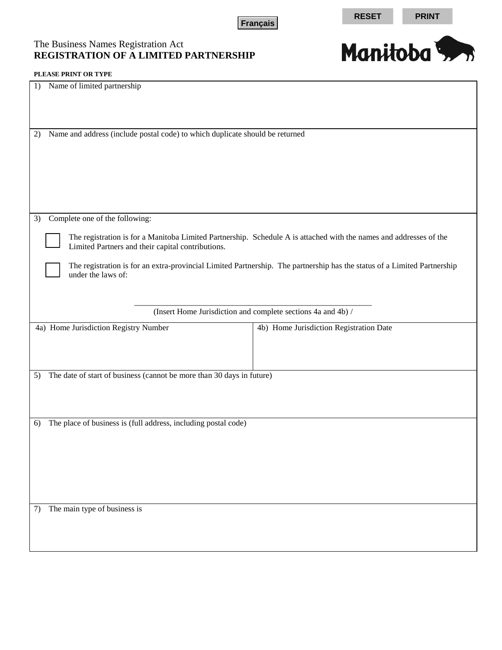**Français RESET PRINT** 

## The Business Names Registration Act **REGISTRATION OF A LIMITED PARTNERSHIP**



| I LEASE I NIM ON THE                                                                                                                                                    |                                                              |  |  |  |  |
|-------------------------------------------------------------------------------------------------------------------------------------------------------------------------|--------------------------------------------------------------|--|--|--|--|
| Name of limited partnership<br>1)                                                                                                                                       |                                                              |  |  |  |  |
| Name and address (include postal code) to which duplicate should be returned<br>2)                                                                                      |                                                              |  |  |  |  |
|                                                                                                                                                                         |                                                              |  |  |  |  |
| Complete one of the following:<br>3)                                                                                                                                    |                                                              |  |  |  |  |
| The registration is for a Manitoba Limited Partnership. Schedule A is attached with the names and addresses of the<br>Limited Partners and their capital contributions. |                                                              |  |  |  |  |
| The registration is for an extra-provincial Limited Partnership. The partnership has the status of a Limited Partnership<br>under the laws of:                          |                                                              |  |  |  |  |
|                                                                                                                                                                         |                                                              |  |  |  |  |
|                                                                                                                                                                         | (Insert Home Jurisdiction and complete sections 4a and 4b) / |  |  |  |  |
| 4a) Home Jurisdiction Registry Number                                                                                                                                   | 4b) Home Jurisdiction Registration Date                      |  |  |  |  |
|                                                                                                                                                                         |                                                              |  |  |  |  |
|                                                                                                                                                                         |                                                              |  |  |  |  |
|                                                                                                                                                                         |                                                              |  |  |  |  |
| The date of start of business (cannot be more than 30 days in future)<br>5)                                                                                             |                                                              |  |  |  |  |
|                                                                                                                                                                         |                                                              |  |  |  |  |
|                                                                                                                                                                         |                                                              |  |  |  |  |
| The place of business is (full address, including postal code)<br>6)                                                                                                    |                                                              |  |  |  |  |
|                                                                                                                                                                         |                                                              |  |  |  |  |
|                                                                                                                                                                         |                                                              |  |  |  |  |
|                                                                                                                                                                         |                                                              |  |  |  |  |
|                                                                                                                                                                         |                                                              |  |  |  |  |
|                                                                                                                                                                         |                                                              |  |  |  |  |
| The main type of business is<br>7)                                                                                                                                      |                                                              |  |  |  |  |
|                                                                                                                                                                         |                                                              |  |  |  |  |
|                                                                                                                                                                         |                                                              |  |  |  |  |
|                                                                                                                                                                         |                                                              |  |  |  |  |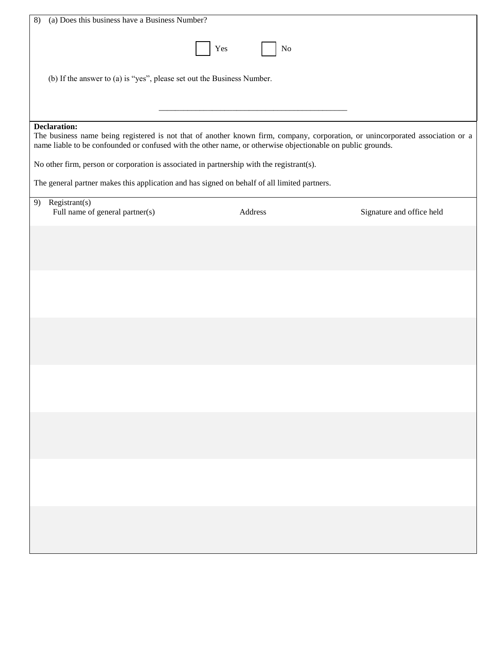| Yes<br>No<br>(b) If the answer to (a) is "yes", please set out the Business Number.<br><b>Declaration:</b><br>The business name being registered is not that of another known firm, company, corporation, or unincorporated association or a<br>name liable to be confounded or confused with the other name, or otherwise objectionable on public grounds.<br>No other firm, person or corporation is associated in partnership with the registrant(s).<br>The general partner makes this application and has signed on behalf of all limited partners.<br>Resistrant(s)<br>9)<br>Full name of general partner(s)<br>Address<br>Signature and office held |
|------------------------------------------------------------------------------------------------------------------------------------------------------------------------------------------------------------------------------------------------------------------------------------------------------------------------------------------------------------------------------------------------------------------------------------------------------------------------------------------------------------------------------------------------------------------------------------------------------------------------------------------------------------|
|                                                                                                                                                                                                                                                                                                                                                                                                                                                                                                                                                                                                                                                            |
|                                                                                                                                                                                                                                                                                                                                                                                                                                                                                                                                                                                                                                                            |
|                                                                                                                                                                                                                                                                                                                                                                                                                                                                                                                                                                                                                                                            |
|                                                                                                                                                                                                                                                                                                                                                                                                                                                                                                                                                                                                                                                            |
|                                                                                                                                                                                                                                                                                                                                                                                                                                                                                                                                                                                                                                                            |
|                                                                                                                                                                                                                                                                                                                                                                                                                                                                                                                                                                                                                                                            |
|                                                                                                                                                                                                                                                                                                                                                                                                                                                                                                                                                                                                                                                            |
|                                                                                                                                                                                                                                                                                                                                                                                                                                                                                                                                                                                                                                                            |
|                                                                                                                                                                                                                                                                                                                                                                                                                                                                                                                                                                                                                                                            |
|                                                                                                                                                                                                                                                                                                                                                                                                                                                                                                                                                                                                                                                            |
|                                                                                                                                                                                                                                                                                                                                                                                                                                                                                                                                                                                                                                                            |
|                                                                                                                                                                                                                                                                                                                                                                                                                                                                                                                                                                                                                                                            |
|                                                                                                                                                                                                                                                                                                                                                                                                                                                                                                                                                                                                                                                            |
|                                                                                                                                                                                                                                                                                                                                                                                                                                                                                                                                                                                                                                                            |
|                                                                                                                                                                                                                                                                                                                                                                                                                                                                                                                                                                                                                                                            |
|                                                                                                                                                                                                                                                                                                                                                                                                                                                                                                                                                                                                                                                            |
|                                                                                                                                                                                                                                                                                                                                                                                                                                                                                                                                                                                                                                                            |
|                                                                                                                                                                                                                                                                                                                                                                                                                                                                                                                                                                                                                                                            |
|                                                                                                                                                                                                                                                                                                                                                                                                                                                                                                                                                                                                                                                            |
|                                                                                                                                                                                                                                                                                                                                                                                                                                                                                                                                                                                                                                                            |
|                                                                                                                                                                                                                                                                                                                                                                                                                                                                                                                                                                                                                                                            |